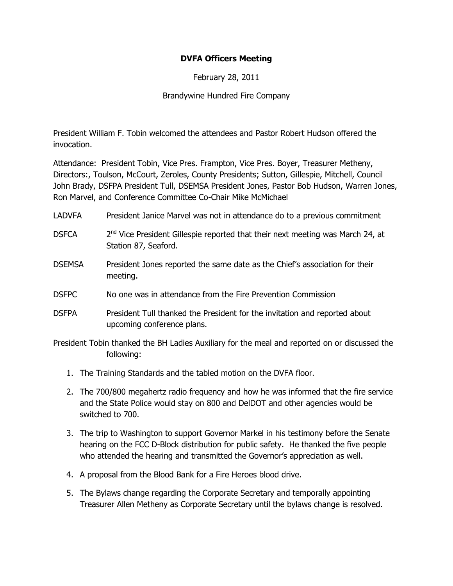## DVFA Officers Meeting

February 28, 2011

## Brandywine Hundred Fire Company

President William F. Tobin welcomed the attendees and Pastor Robert Hudson offered the invocation.

Attendance: President Tobin, Vice Pres. Frampton, Vice Pres. Boyer, Treasurer Metheny, Directors:, Toulson, McCourt, Zeroles, County Presidents; Sutton, Gillespie, Mitchell, Council John Brady, DSFPA President Tull, DSEMSA President Jones, Pastor Bob Hudson, Warren Jones, Ron Marvel, and Conference Committee Co-Chair Mike McMichael

- LADVFA President Janice Marvel was not in attendance do to a previous commitment
- DSFCA  $2^{nd}$  Vice President Gillespie reported that their next meeting was March 24, at Station 87, Seaford.
- DSEMSA President Jones reported the same date as the Chief's association for their meeting.
- DSFPC No one was in attendance from the Fire Prevention Commission
- DSFPA President Tull thanked the President for the invitation and reported about upcoming conference plans.
- President Tobin thanked the BH Ladies Auxiliary for the meal and reported on or discussed the following:
	- 1. The Training Standards and the tabled motion on the DVFA floor.
	- 2. The 700/800 megahertz radio frequency and how he was informed that the fire service and the State Police would stay on 800 and DelDOT and other agencies would be switched to 700.
	- 3. The trip to Washington to support Governor Markel in his testimony before the Senate hearing on the FCC D-Block distribution for public safety. He thanked the five people who attended the hearing and transmitted the Governor's appreciation as well.
	- 4. A proposal from the Blood Bank for a Fire Heroes blood drive.
	- 5. The Bylaws change regarding the Corporate Secretary and temporally appointing Treasurer Allen Metheny as Corporate Secretary until the bylaws change is resolved.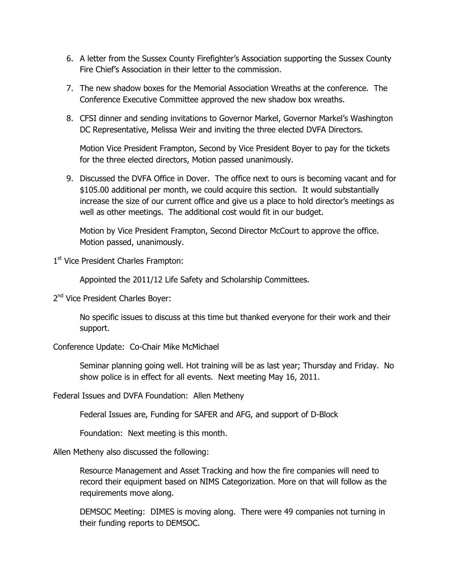- 6. A letter from the Sussex County Firefighter's Association supporting the Sussex County Fire Chief's Association in their letter to the commission.
- 7. The new shadow boxes for the Memorial Association Wreaths at the conference. The Conference Executive Committee approved the new shadow box wreaths.
- 8. CFSI dinner and sending invitations to Governor Markel, Governor Markel's Washington DC Representative, Melissa Weir and inviting the three elected DVFA Directors.

Motion Vice President Frampton, Second by Vice President Boyer to pay for the tickets for the three elected directors, Motion passed unanimously.

9. Discussed the DVFA Office in Dover. The office next to ours is becoming vacant and for \$105.00 additional per month, we could acquire this section. It would substantially increase the size of our current office and give us a place to hold director's meetings as well as other meetings. The additional cost would fit in our budget.

Motion by Vice President Frampton, Second Director McCourt to approve the office. Motion passed, unanimously.

1<sup>st</sup> Vice President Charles Frampton:

Appointed the 2011/12 Life Safety and Scholarship Committees.

2<sup>nd</sup> Vice President Charles Boyer:

No specific issues to discuss at this time but thanked everyone for their work and their support.

Conference Update: Co-Chair Mike McMichael

Seminar planning going well. Hot training will be as last year; Thursday and Friday. No show police is in effect for all events. Next meeting May 16, 2011.

Federal Issues and DVFA Foundation: Allen Metheny

Federal Issues are, Funding for SAFER and AFG, and support of D-Block

Foundation: Next meeting is this month.

Allen Metheny also discussed the following:

Resource Management and Asset Tracking and how the fire companies will need to record their equipment based on NIMS Categorization. More on that will follow as the requirements move along.

DEMSOC Meeting: DIMES is moving along. There were 49 companies not turning in their funding reports to DEMSOC.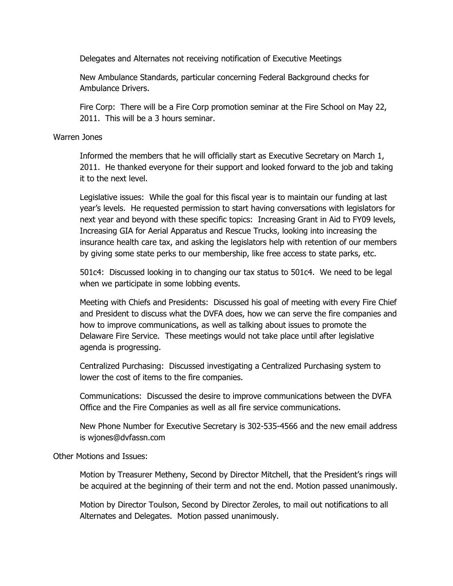Delegates and Alternates not receiving notification of Executive Meetings

New Ambulance Standards, particular concerning Federal Background checks for Ambulance Drivers.

Fire Corp: There will be a Fire Corp promotion seminar at the Fire School on May 22, 2011. This will be a 3 hours seminar.

## Warren Jones

Informed the members that he will officially start as Executive Secretary on March 1, 2011. He thanked everyone for their support and looked forward to the job and taking it to the next level.

Legislative issues: While the goal for this fiscal year is to maintain our funding at last year's levels. He requested permission to start having conversations with legislators for next year and beyond with these specific topics: Increasing Grant in Aid to FY09 levels, Increasing GIA for Aerial Apparatus and Rescue Trucks, looking into increasing the insurance health care tax, and asking the legislators help with retention of our members by giving some state perks to our membership, like free access to state parks, etc.

501c4: Discussed looking in to changing our tax status to 501c4. We need to be legal when we participate in some lobbing events.

Meeting with Chiefs and Presidents: Discussed his goal of meeting with every Fire Chief and President to discuss what the DVFA does, how we can serve the fire companies and how to improve communications, as well as talking about issues to promote the Delaware Fire Service. These meetings would not take place until after legislative agenda is progressing.

Centralized Purchasing: Discussed investigating a Centralized Purchasing system to lower the cost of items to the fire companies.

Communications: Discussed the desire to improve communications between the DVFA Office and the Fire Companies as well as all fire service communications.

New Phone Number for Executive Secretary is 302-535-4566 and the new email address is wjones@dvfassn.com

Other Motions and Issues:

Motion by Treasurer Metheny, Second by Director Mitchell, that the President's rings will be acquired at the beginning of their term and not the end. Motion passed unanimously.

Motion by Director Toulson, Second by Director Zeroles, to mail out notifications to all Alternates and Delegates. Motion passed unanimously.